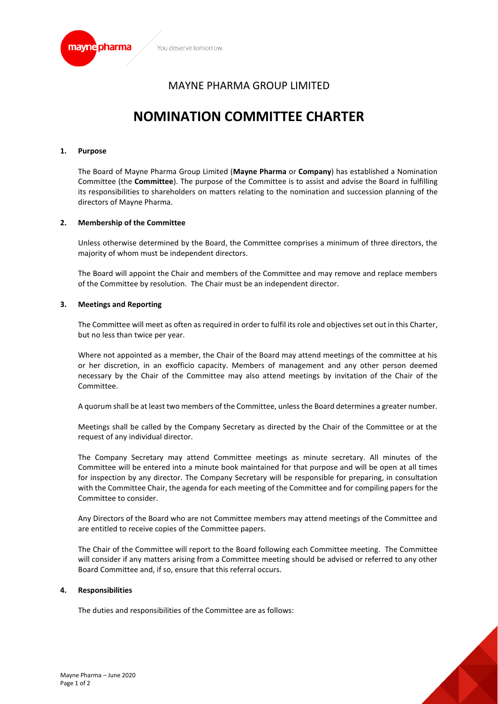

# MAYNE PHARMA GROUP LIMITED

# **NOMINATION COMMITTEE CHARTER**

### **1. Purpose**

The Board of Mayne Pharma Group Limited (**Mayne Pharma** or **Company**) has established a Nomination Committee (the **Committee**). The purpose of the Committee is to assist and advise the Board in fulfilling its responsibilities to shareholders on matters relating to the nomination and succession planning of the directors of Mayne Pharma.

### **2. Membership of the Committee**

Unless otherwise determined by the Board, the Committee comprises a minimum of three directors, the majority of whom must be independent directors.

The Board will appoint the Chair and members of the Committee and may remove and replace members of the Committee by resolution. The Chair must be an independent director.

### **3. Meetings and Reporting**

The Committee will meet as often as required in order to fulfil its role and objectives set out in this Charter, but no less than twice per year.

Where not appointed as a member, the Chair of the Board may attend meetings of the committee at his or her discretion, in an exofficio capacity. Members of management and any other person deemed necessary by the Chair of the Committee may also attend meetings by invitation of the Chair of the Committee.

A quorum shall be at least two members of the Committee, unless the Board determines a greater number.

Meetings shall be called by the Company Secretary as directed by the Chair of the Committee or at the request of any individual director.

The Company Secretary may attend Committee meetings as minute secretary. All minutes of the Committee will be entered into a minute book maintained for that purpose and will be open at all times for inspection by any director. The Company Secretary will be responsible for preparing, in consultation with the Committee Chair, the agenda for each meeting of the Committee and for compiling papers for the Committee to consider.

Any Directors of the Board who are not Committee members may attend meetings of the Committee and are entitled to receive copies of the Committee papers.

The Chair of the Committee will report to the Board following each Committee meeting. The Committee will consider if any matters arising from a Committee meeting should be advised or referred to any other Board Committee and, if so, ensure that this referral occurs.

#### **4. Responsibilities**

The duties and responsibilities of the Committee are as follows: